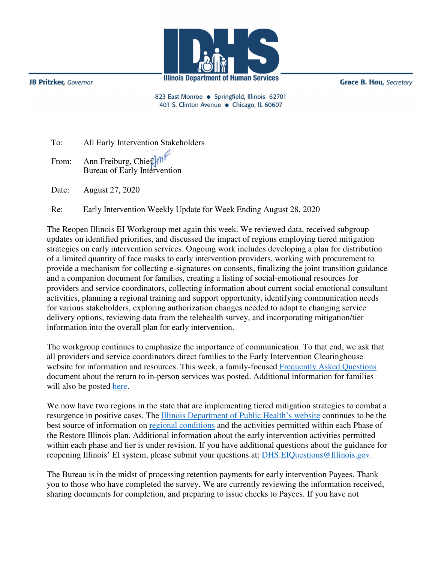

**JB Pritzker**, Governor

**Grace B. Hou, Secretary** 

823 East Monroe · Springfield, Illinois 62701 401 S. Clinton Avenue · Chicago, IL 60607

| To: All Early Intervention Stakeholders |
|-----------------------------------------|
| From: Ann Freiburg, Chief ( <i>m</i> )  |
| Date: August 27, 2020                   |

Re: Early Intervention Weekly Update for Week Ending August 28, 2020

The Reopen Illinois EI Workgroup met again this week. We reviewed data, received subgroup updates on identified priorities, and discussed the impact of regions employing tiered mitigation strategies on early intervention services. Ongoing work includes developing a plan for distribution of a limited quantity of face masks to early intervention providers, working with procurement to provide a mechanism for collecting e-signatures on consents, finalizing the joint transition guidance and a companion document for families, creating a listing of social-emotional resources for providers and service coordinators, collecting information about current social emotional consultant activities, planning a regional training and support opportunity, identifying communication needs for various stakeholders, exploring authorization changes needed to adapt to changing service delivery options, reviewing data from the telehealth survey, and incorporating mitigation/tier information into the overall plan for early intervention.

The workgroup continues to emphasize the importance of communication. To that end, we ask that all providers and service coordinators direct families to the Early Intervention Clearinghouse website for information and resources. This week, a family-focused [Frequently Asked Questions](https://eiclearinghouse.org/everyday/faq-inperson-visits/) document about the return to in-person services was posted. Additional information for families will also be posted [here.](https://eiclearinghouse.org/resources/trying-times/)

We now have two regions in the state that are implementing tiered mitigation strategies to combat a resurgence in positive cases. The [Illinois Department of Public Health's website c](https://www.dph.illinois.gov/covid19)ontinues to be the best source of information on [regional conditions](https://www.dph.illinois.gov/regionmetrics?regionID=1) and the activities permitted within each Phase of the Restore Illinois plan. Additional information about the early intervention activities permitted within each phase and tier is under revision. If you have additional questions about the guidance for reopening Illinois' EI system, please submit your questions at: DHS.EIQuestions@Illinois.gov.

The Bureau is in the midst of processing retention payments for early intervention Payees. Thank you to those who have completed the survey. We are currently reviewing the information received, sharing documents for completion, and preparing to issue checks to Payees. If you have not